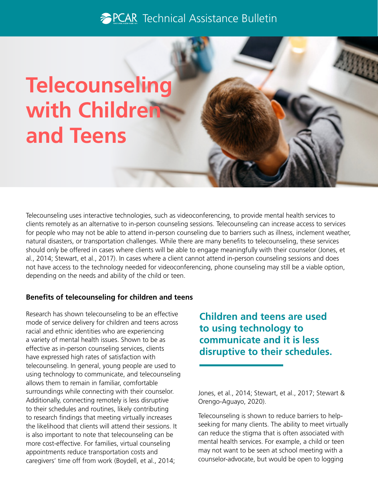## **PCAR** Technical Assistance Bulletin

# **Telecounseling with Children and Teens**

Telecounseling uses interactive technologies, such as videoconferencing, to provide mental health services to clients remotely as an alternative to in-person counseling sessions. Telecounseling can increase access to services for people who may not be able to attend in-person counseling due to barriers such as illness, inclement weather, natural disasters, or transportation challenges. While there are many benefts to telecounseling, these services should only be offered in cases where clients will be able to engage meaningfully with their counselor (Jones, et al., 2014; Stewart, et al., 2017). In cases where a client cannot attend in-person counseling sessions and does not have access to the technology needed for videoconferencing, phone counseling may still be a viable option, depending on the needs and ability of the child or teen.

#### **Benefts of telecounseling for children and teens**

Research has shown telecounseling to be an effective mode of service delivery for children and teens across racial and ethnic identities who are experiencing a variety of mental health issues. Shown to be as effective as in-person counseling services, clients have expressed high rates of satisfaction with telecounseling. In general, young people are used to using technology to communicate, and telecounseling allows them to remain in familiar, comfortable surroundings while connecting with their counselor. Additionally, connecting remotely is less disruptive to their schedules and routines, likely contributing to research findings that meeting virtually increases the likelihood that clients will attend their sessions. It is also important to note that telecounseling can be more cost-effective. For families, virtual counseling appointments reduce transportation costs and caregivers' time off from work (Boydell, et al., 2014;

**Children and teens are used to using technology to communicate and it is less disruptive to their schedules.** 

Jones, et al., 2014; Stewart, et al., 2017; Stewart & Orengo-Aguayo, 2020).

Telecounseling is shown to reduce barriers to helpseeking for many clients. The ability to meet virtually can reduce the stigma that is often associated with mental health services. For example, a child or teen may not want to be seen at school meeting with a counselor-advocate, but would be open to logging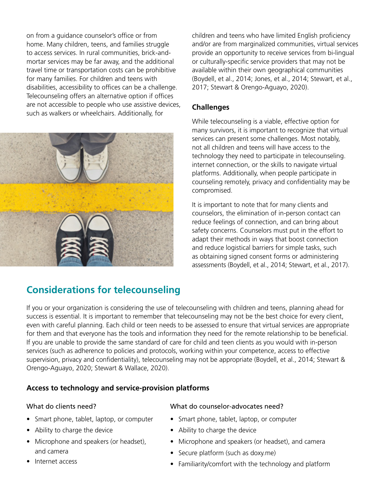on from a quidance counselor's office or from home. Many children, teens, and families struggle to access services. In rural communities, brick-andmortar services may be far away, and the additional travel time or transportation costs can be prohibitive for many families. For children and teens with disabilities, accessibility to offices can be a challenge. Telecounseling offers an alternative option if offices are not accessible to people who use assistive devices, such as walkers or wheelchairs. Additionally, for



**Considerations for telecounseling** 

children and teens who have limited English proficiency and/or are from marginalized communities, virtual services provide an opportunity to receive services from bi-lingual or culturally-specific service providers that may not be available within their own geographical communities (Boydell, et al., 2014; Jones, et al., 2014; Stewart, et al., 2017; Stewart & Orengo-Aguayo, 2020).

#### **Challenges**

While telecounseling is a viable, effective option for many survivors, it is important to recognize that virtual services can present some challenges. Most notably, not all children and teens will have access to the technology they need to participate in telecounseling. internet connection, or the skills to navigate virtual platforms. Additionally, when people participate in counseling remotely, privacy and confdentiality may be compromised.

It is important to note that for many clients and counselors, the elimination of in-person contact can reduce feelings of connection, and can bring about safety concerns. Counselors must put in the effort to adapt their methods in ways that boost connection and reduce logistical barriers for simple tasks, such as obtaining signed consent forms or administering assessments (Boydell, et al., 2014; Stewart, et al., 2017).

If you or your organization is considering the use of telecounseling with children and teens, planning ahead for success is essential. It is important to remember that telecounseling may not be the best choice for every client, even with careful planning. Each child or teen needs to be assessed to ensure that virtual services are appropriate for them and that everyone has the tools and information they need for the remote relationship to be beneficial. If you are unable to provide the same standard of care for child and teen clients as you would with in-person services (such as adherence to policies and protocols, working within your competence, access to effective supervision, privacy and confidentiality), telecounseling may not be appropriate (Boydell, et al., 2014; Stewart & Orengo-Aguayo, 2020; Stewart & Wallace, 2020).

#### **Access to technology and service-provision platforms**

#### What do clients need?

- Smart phone, tablet, laptop, or computer
- Ability to charge the device
- Microphone and speakers (or headset), and camera
- Internet access

#### What do counselor-advocates need?

- Smart phone, tablet, laptop, or computer
- Ability to charge the device
- Microphone and speakers (or headset), and camera
- Secure platform (such as doxy.me)
- Familiarity/comfort with the technology and platform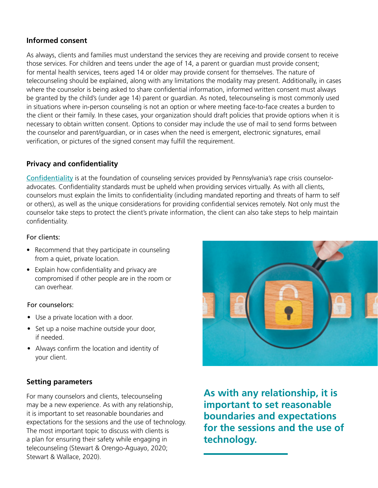#### **Informed consent**

As always, clients and families must understand the services they are receiving and provide consent to receive those services. For children and teens under the age of 14, a parent or guardian must provide consent; for mental health services, teens aged 14 or older may provide consent for themselves. The nature of telecounseling should be explained, along with any limitations the modality may present. Additionally, in cases where the counselor is being asked to share confidential information, informed written consent must always be granted by the child's (under age 14) parent or guardian. As noted, telecounseling is most commonly used in situations where in-person counseling is not an option or where meeting face-to-face creates a burden to the client or their family. In these cases, your organization should draft policies that provide options when it is necessary to obtain written consent. Options to consider may include the use of mail to send forms between the counselor and parent/guardian, or in cases when the need is emergent, electronic signatures, email verifcation, or pictures of the signed consent may fulfll the requirement.

#### **Privacy and confidentiality**

Confidentiality is at the foundation of counseling services provided by Pennsylvania's rape crisis counseloradvocates. Confidentiality standards must be upheld when providing services virtually. As with all clients, counselors must explain the limits to confdentiality (including mandated reporting and threats of harm to self or others), as well as the unique considerations for providing confdential services remotely. Not only must the counselor take steps to protect the client's private information, the client can also take steps to help maintain confidentiality.

#### For clients:

- Recommend that they participate in counseling from a quiet, private location.
- Explain how confidentiality and privacy are compromised if other people are in the room or can overhear.

#### For counselors:

- Use a private location with a door.
- Set up a noise machine outside your door, if needed.
- Always confirm the location and identity of your client.

#### **Setting parameters**

For many counselors and clients, telecounseling may be a new experience. As with any relationship, it is important to set reasonable boundaries and expectations for the sessions and the use of technology. The most important topic to discuss with clients is a plan for ensuring their safety while engaging in telecounseling (Stewart & Orengo-Aguayo, 2020; Stewart & Wallace, 2020).



**As with any relationship, it is important to set reasonable boundaries and expectations for the sessions and the use of technology.**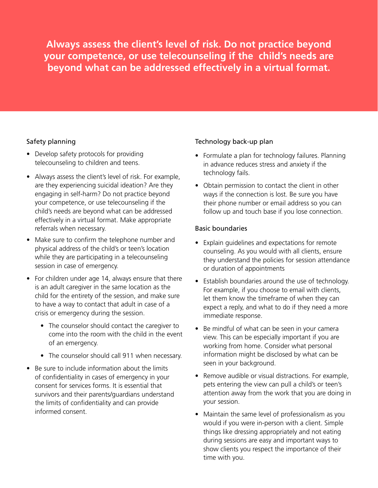**Always assess the client's level of risk. Do not practice beyond your competence, or use telecounseling if the child's needs are beyond what can be addressed effectively in a virtual format.** 

#### Safety planning

- Develop safety protocols for providing telecounseling to children and teens.
- Always assess the client's level of risk. For example, are they experiencing suicidal ideation? Are they engaging in self-harm? Do not practice beyond your competence, or use telecounseling if the child's needs are beyond what can be addressed effectively in a virtual format. Make appropriate referrals when necessary.
- Make sure to confirm the telephone number and physical address of the child's or teen's location while they are participating in a telecounseling session in case of emergency.
- For children under age 14, always ensure that there is an adult caregiver in the same location as the child for the entirety of the session, and make sure to have a way to contact that adult in case of a crisis or emergency during the session.
	- The counselor should contact the caregiver to come into the room with the child in the event of an emergency.
	- The counselor should call 911 when necessary.
- Be sure to include information about the limits of confdentiality in cases of emergency in your consent for services forms. It is essential that survivors and their parents/guardians understand the limits of confidentiality and can provide informed consent.

#### Technology back-up plan

- Formulate a plan for technology failures. Planning in advance reduces stress and anxiety if the technology fails.
- Obtain permission to contact the client in other ways if the connection is lost. Be sure you have their phone number or email address so you can follow up and touch base if you lose connection.

#### Basic boundaries

- Explain guidelines and expectations for remote counseling. As you would with all clients, ensure they understand the policies for session attendance or duration of appointments
- Establish boundaries around the use of technology. For example, if you choose to email with clients, let them know the timeframe of when they can expect a reply, and what to do if they need a more immediate response.
- Be mindful of what can be seen in your camera view. This can be especially important if you are working from home. Consider what personal information might be disclosed by what can be seen in your background.
- Remove audible or visual distractions. For example, pets entering the view can pull a child's or teen's attention away from the work that you are doing in your session.
- Maintain the same level of professionalism as you would if you were in-person with a client. Simple things like dressing appropriately and not eating during sessions are easy and important ways to show clients you respect the importance of their time with you.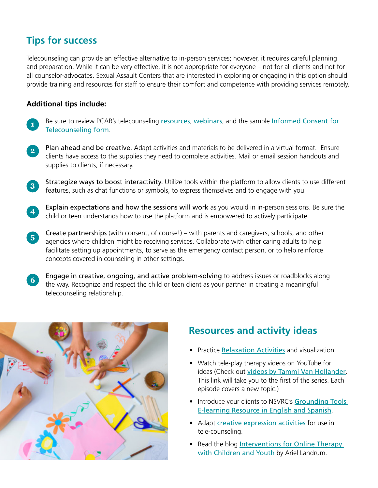## **Tips for success**

Telecounseling can provide an effective alternative to in-person services; however, it requires careful planning and preparation. While it can be very effective, it is not appropriate for everyone – not for all clients and not for all counselor-advocates. Sexual Assault Centers that are interested in exploring or engaging in this option should provide training and resources for staff to ensure their comfort and competence with providing services remotely.

#### **Additional tips include:**

- **1** Be sure to review PCAR's [telecounseling](https://pcar.org/telecounseling) resources, [webinars](https://youtu.be/AuZkXXu0opw), and the sample Informed Consent for [Telecounseling form](https://pcar.coalitionmanager.org/resourcemanager/resourcefile/details/45).
- **2** Plan ahead and be creative. Adapt activities and materials to be delivered in a virtual format. Ensure clients have access to the supplies they need to complete activities. Mail or email session handouts and supplies to clients, if necessary.
- **3** Strategize ways to boost interactivity. Utilize tools within the platform to allow clients to use different features, such as chat functions or symbols, to express themselves and to engage with you.
- **4** Explain expectations and how the sessions will work as you would in in-person sessions. Be sure the child or teen understands how to use the platform and is empowered to actively participate.
- **5** Create partnerships (with consent, of course!) – with parents and caregivers, schools, and other agencies where children might be receiving services. Collaborate with other caring adults to help facilitate setting up appointments, to serve as the emergency contact person, or to help reinforce concepts covered in counseling in other settings.
- Engage in creative, ongoing, and active problem-solving to address issues or roadblocks along the way. Recognize and respect the child or teen client as your partner in creating a meaningful telecounseling relationship. **6**



## **Resources and activity ideas**

- Practice [Relaxation Activities](https://www.mc.vanderbilt.edu/coe/tfcbt/workbook/Relaxation & Affective Expression/PMR Script.pdf) and visualization.
- Watch tele-play therapy videos on YouTube for ideas (Check out [videos by Tammi Van Hollander](https://www.youtube.com/watch?v=D9hEcN8tgnc). This link will take you to the first of the series. Each episode covers a new topic.)
- Introduce your clients to NSVRC's Grounding Tools [E-learning Resource in English and Spanish](https://www.nsvrc.org/elearning/grounding-tools).
- Adapt [creative expression activities](https://www.psychologytoday.com/us/blog/arts-and-health/201406/creative-arts-therapy-and-expressive-arts-therapy) for use in tele-counseling.
- Read the blog Interventions for Online Therapy [with Children and Youth](https://www.guidancett.com/blog/interventions-for-online-therapy-with-children-and-youth-2020) by Ariel Landrum.